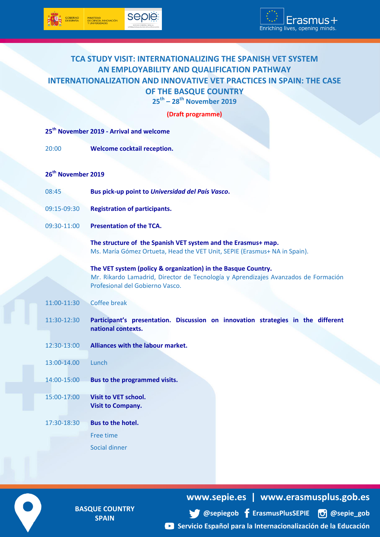## **TCA STUDY VISIT: INTERNATIONALIZING THE SPANISH VET SYSTEM AN EMPLOYABILITY AND QUALIFICATION PATHWAY INTERNATIONALIZATION AND INNOVATIVE VET PRACTICES IN SPAIN: THE CASE OF THE BASQUE COUNTRY 25th – 28th November 2019**

|  | (Draft programme) |  |
|--|-------------------|--|
|--|-------------------|--|

| 25 <sup>th</sup> November 2019 - Arrival and welcome |                                                                                                                                                                                        |  |
|------------------------------------------------------|----------------------------------------------------------------------------------------------------------------------------------------------------------------------------------------|--|
| 20:00                                                | Welcome cocktail reception.                                                                                                                                                            |  |
|                                                      |                                                                                                                                                                                        |  |
| 26 <sup>th</sup> November 2019                       |                                                                                                                                                                                        |  |
| 08:45                                                | Bus pick-up point to Universidad del País Vasco.                                                                                                                                       |  |
| 09:15-09:30                                          | <b>Registration of participants.</b>                                                                                                                                                   |  |
| 09:30-11:00                                          | <b>Presentation of the TCA.</b>                                                                                                                                                        |  |
|                                                      | The structure of the Spanish VET system and the Erasmus+ map.<br>Ms. María Gómez Ortueta, Head the VET Unit, SEPIE (Erasmus+ NA in Spain).                                             |  |
|                                                      | The VET system (policy & organization) in the Basque Country.<br>Mr. Rikardo Lamadrid, Director de Tecnología y Aprendizajes Avanzados de Formación<br>Profesional del Gobierno Vasco. |  |
| 11:00-11:30                                          | <b>Coffee break</b>                                                                                                                                                                    |  |
| 11:30-12:30                                          | Participant's presentation. Discussion on innovation strategies in the different<br>national contexts.                                                                                 |  |
| 12:30-13:00                                          | Alliances with the labour market.                                                                                                                                                      |  |
| 13:00-14.00                                          | Lunch                                                                                                                                                                                  |  |
| 14:00-15:00                                          | Bus to the programmed visits.                                                                                                                                                          |  |
| 15:00-17:00                                          | <b>Visit to VET school.</b><br><b>Visit to Company.</b>                                                                                                                                |  |
| 17:30-18:30                                          | <b>Bus to the hotel.</b>                                                                                                                                                               |  |
|                                                      | Free time                                                                                                                                                                              |  |
|                                                      | Social dinner                                                                                                                                                                          |  |
|                                                      |                                                                                                                                                                                        |  |

**BASQUE COUNTRY SPAIN**

**www.sepie.es | www.erasmusplus.gob.es**

**[@sepiegob](https://twitter.com/sepiegob/) [ErasmusPlusSEPIE](https://www.facebook.com/ErasmusPlusSEPIE/) [@sepie\\_gob](https://www.instagram.com/sepie_gob/) [Servicio Español para la Internacionalización de la Educación](https://www.youtube.com/playlist?list=PLwwGwqT0YgAwIjUP6tEETidRZ6Avjr5J0)**